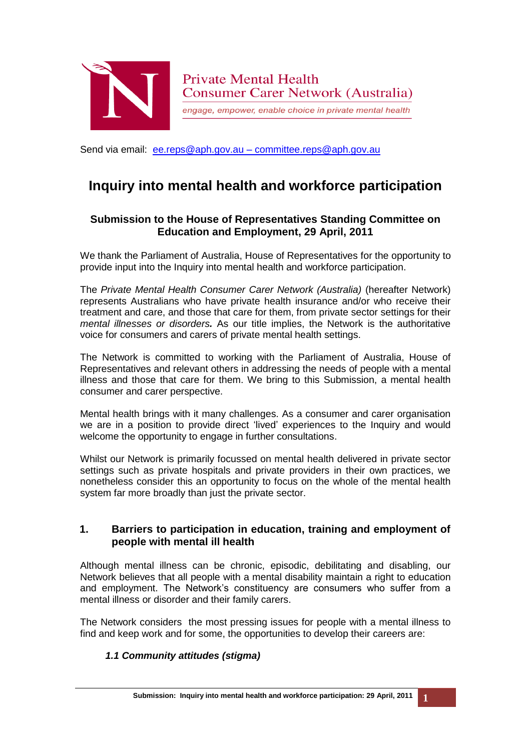

engage, empower, enable choice in private mental health

Send via email: [ee.reps@aph.gov.au](mailto:ee.reps@aph.gov.au) – committee.reps@aph.gov.au

# **Inquiry into mental health and workforce participation**

# **Submission to the House of Representatives Standing Committee on Education and Employment, 29 April, 2011**

We thank the Parliament of Australia, House of Representatives for the opportunity to provide input into the Inquiry into mental health and workforce participation.

The *Private Mental Health Consumer Carer Network (Australia)* (hereafter Network) represents Australians who have private health insurance and/or who receive their treatment and care, and those that care for them, from private sector settings for their *mental illnesses or disorders.* As our title implies, the Network is the authoritative voice for consumers and carers of private mental health settings.

The Network is committed to working with the Parliament of Australia, House of Representatives and relevant others in addressing the needs of people with a mental illness and those that care for them. We bring to this Submission, a mental health consumer and carer perspective.

Mental health brings with it many challenges. As a consumer and carer organisation we are in a position to provide direct 'lived' experiences to the Inquiry and would welcome the opportunity to engage in further consultations.

Whilst our Network is primarily focussed on mental health delivered in private sector settings such as private hospitals and private providers in their own practices, we nonetheless consider this an opportunity to focus on the whole of the mental health system far more broadly than just the private sector.

## **1. Barriers to participation in education, training and employment of people with mental ill health**

Although mental illness can be chronic, episodic, debilitating and disabling, our Network believes that all people with a mental disability maintain a right to education and employment. The Network's constituency are consumers who suffer from a mental illness or disorder and their family carers.

The Network considers the most pressing issues for people with a mental illness to find and keep work and for some, the opportunities to develop their careers are:

## *1.1 Community attitudes (stigma)*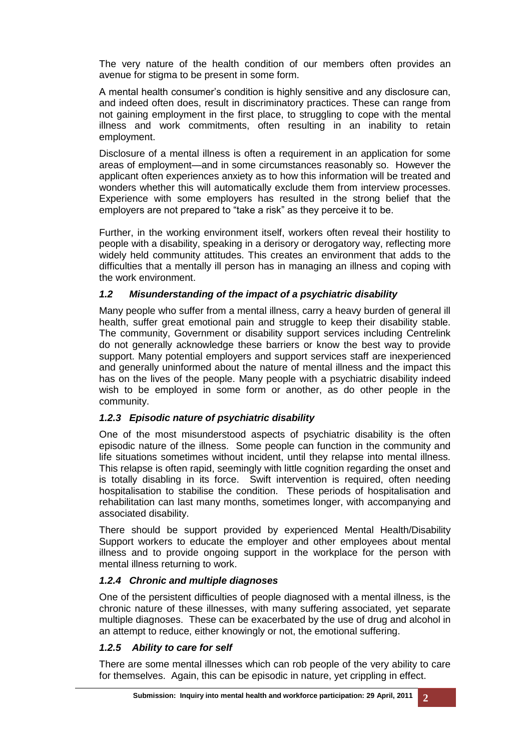The very nature of the health condition of our members often provides an avenue for stigma to be present in some form.

A mental health consumer's condition is highly sensitive and any disclosure can, and indeed often does, result in discriminatory practices. These can range from not gaining employment in the first place, to struggling to cope with the mental illness and work commitments, often resulting in an inability to retain employment.

Disclosure of a mental illness is often a requirement in an application for some areas of employment—and in some circumstances reasonably so. However the applicant often experiences anxiety as to how this information will be treated and wonders whether this will automatically exclude them from interview processes. Experience with some employers has resulted in the strong belief that the employers are not prepared to "take a risk" as they perceive it to be.

Further, in the working environment itself, workers often reveal their hostility to people with a disability, speaking in a derisory or derogatory way, reflecting more widely held community attitudes. This creates an environment that adds to the difficulties that a mentally ill person has in managing an illness and coping with the work environment.

#### *1.2 Misunderstanding of the impact of a psychiatric disability*

Many people who suffer from a mental illness, carry a heavy burden of general ill health, suffer great emotional pain and struggle to keep their disability stable. The community, Government or disability support services including Centrelink do not generally acknowledge these barriers or know the best way to provide support. Many potential employers and support services staff are inexperienced and generally uninformed about the nature of mental illness and the impact this has on the lives of the people. Many people with a psychiatric disability indeed wish to be employed in some form or another, as do other people in the community.

#### *1.2.3 Episodic nature of psychiatric disability*

One of the most misunderstood aspects of psychiatric disability is the often episodic nature of the illness. Some people can function in the community and life situations sometimes without incident, until they relapse into mental illness. This relapse is often rapid, seemingly with little cognition regarding the onset and is totally disabling in its force. Swift intervention is required, often needing hospitalisation to stabilise the condition. These periods of hospitalisation and rehabilitation can last many months, sometimes longer, with accompanying and associated disability.

There should be support provided by experienced Mental Health/Disability Support workers to educate the employer and other employees about mental illness and to provide ongoing support in the workplace for the person with mental illness returning to work.

#### *1.2.4 Chronic and multiple diagnoses*

One of the persistent difficulties of people diagnosed with a mental illness, is the chronic nature of these illnesses, with many suffering associated, yet separate multiple diagnoses. These can be exacerbated by the use of drug and alcohol in an attempt to reduce, either knowingly or not, the emotional suffering.

#### *1.2.5 Ability to care for self*

There are some mental illnesses which can rob people of the very ability to care for themselves. Again, this can be episodic in nature, yet crippling in effect.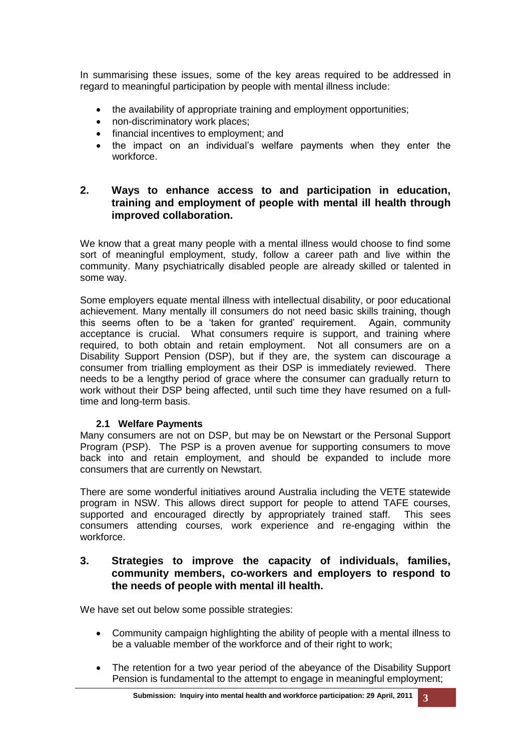In summarising these issues, some of the key areas required to be addressed in regard to meaningful participation by people with mental illness include:

- the availability of appropriate training and employment opportunities;
- non-discriminatory work places;
- financial incentives to employment; and
- the impact on an individual's welfare payments when they enter the workforce.

## **2. Ways to enhance access to and participation in education, training and employment of people with mental ill health through improved collaboration.**

We know that a great many people with a mental illness would choose to find some sort of meaningful employment, study, follow a career path and live within the community. Many psychiatrically disabled people are already skilled or talented in some way.

Some employers equate mental illness with intellectual disability, or poor educational achievement. Many mentally ill consumers do not need basic skills training, though this seems often to be a 'taken for granted' requirement. Again, community acceptance is crucial. What consumers require is support, and training where required, to both obtain and retain employment. Not all consumers are on a Disability Support Pension (DSP), but if they are, the system can discourage a consumer from trialling employment as their DSP is immediately reviewed. There needs to be a lengthy period of grace where the consumer can gradually return to work without their DSP being affected, until such time they have resumed on a fulltime and long-term basis.

#### **2.1 Welfare Payments**

Many consumers are not on DSP, but may be on Newstart or the Personal Support Program (PSP). The PSP is a proven avenue for supporting consumers to move back into and retain employment, and should be expanded to include more consumers that are currently on Newstart.

There are some wonderful initiatives around Australia including the VETE statewide program in NSW. This allows direct support for people to attend TAFE courses, supported and encouraged directly by appropriately trained staff. This sees consumers attending courses, work experience and re-engaging within the workforce.

## **3. Strategies to improve the capacity of individuals, families, community members, co-workers and employers to respond to the needs of people with mental ill health.**

We have set out below some possible strategies:

- Community campaign highlighting the ability of people with a mental illness to be a valuable member of the workforce and of their right to work;
- The retention for a two year period of the abeyance of the Disability Support Pension is fundamental to the attempt to engage in meaningful employment;